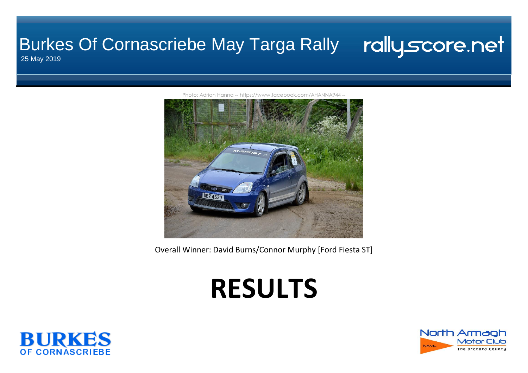#### rallyscore.net Burkes Of Cornascriebe May Targa Rally

25 May 2019



[P](http://https//www.facebook.com/AHANNA944/)hoto: Adrian Hanna -- https://www.facebook.com/AHANNA944 -

Overall Winner: David Burns/Connor Murphy [Ford Fiesta ST]

# **RESULTS**



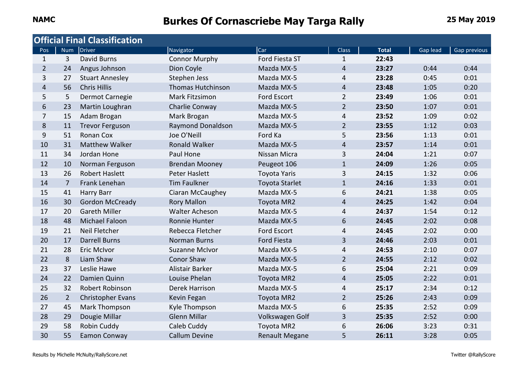|                |                | <b>Official Final Classification</b> |                          |                       |                |              |          |              |
|----------------|----------------|--------------------------------------|--------------------------|-----------------------|----------------|--------------|----------|--------------|
| Pos            |                | Num Driver                           | Navigator                | Car                   | <b>Class</b>   | <b>Total</b> | Gap lead | Gap previous |
| $\mathbf{1}$   | 3              | <b>David Burns</b>                   | <b>Connor Murphy</b>     | Ford Fiesta ST        | $\mathbf{1}$   | 22:43        |          |              |
| $\overline{2}$ | 24             | Angus Johnson                        | Dion Coyle               | Mazda MX-5            | 4              | 23:27        | 0:44     | 0:44         |
| 3              | 27             | <b>Stuart Annesley</b>               | Stephen Jess             | Mazda MX-5            | 4              | 23:28        | 0:45     | 0:01         |
| $\overline{4}$ | 56             | <b>Chris Hillis</b>                  | <b>Thomas Hutchinson</b> | Mazda MX-5            | $\overline{4}$ | 23:48        | 1:05     | 0:20         |
| 5              | 5              | Dermot Carnegie                      | Mark Fitzsimon           | <b>Ford Escort</b>    | $\overline{2}$ | 23:49        | 1:06     | 0:01         |
| 6              | 23             | Martin Loughran                      | Charlie Conway           | Mazda MX-5            | $\overline{2}$ | 23:50        | 1:07     | 0:01         |
| $\overline{7}$ | 15             | Adam Brogan                          | Mark Brogan              | Mazda MX-5            | 4              | 23:52        | 1:09     | 0:02         |
| 8              | 11             | <b>Trevor Ferguson</b>               | Raymond Donaldson        | Mazda MX-5            | $\overline{2}$ | 23:55        | 1:12     | 0:03         |
| 9              | 51             | <b>Ronan Cox</b>                     | Joe O'Neill              | Ford Ka               | 5              | 23:56        | 1:13     | 0:01         |
| 10             | 31             | <b>Matthew Walker</b>                | <b>Ronald Walker</b>     | Mazda MX-5            | 4              | 23:57        | 1:14     | 0:01         |
| 11             | 34             | Jordan Hone                          | Paul Hone                | Nissan Micra          | 3              | 24:04        | 1:21     | 0:07         |
| 12             | 10             | Norman Ferguson                      | <b>Brendan Mooney</b>    | Peugeot 106           | $\mathbf{1}$   | 24:09        | 1:26     | 0:05         |
| 13             | 26             | <b>Robert Haslett</b>                | <b>Peter Haslett</b>     | <b>Toyota Yaris</b>   | 3              | 24:15        | 1:32     | 0:06         |
| 14             | $\overline{7}$ | Frank Lenehan                        | <b>Tim Faulkner</b>      | <b>Toyota Starlet</b> | $\mathbf{1}$   | 24:16        | 1:33     | 0:01         |
| 15             | 41             | Harry Barr                           | Ciaran McCaughey         | Mazda MX-5            | 6              | 24:21        | 1:38     | 0:05         |
| 16             | 30             | <b>Gordon McCready</b>               | <b>Rory Mallon</b>       | Toyota MR2            | $\overline{4}$ | 24:25        | 1:42     | 0:04         |
| 17             | 20             | <b>Gareth Miller</b>                 | Walter Acheson           | Mazda MX-5            | 4              | 24:37        | 1:54     | 0:12         |
| 18             | 48             | Michael Faloon                       | Ronnie Hunter            | Mazda MX-5            | 6              | 24:45        | 2:02     | 0:08         |
| 19             | 21             | Neil Fletcher                        | Rebecca Fletcher         | Ford Escort           | 4              | 24:45        | 2:02     | 0:00         |
| 20             | 17             | <b>Darrell Burns</b>                 | <b>Norman Burns</b>      | <b>Ford Fiesta</b>    | 3              | 24:46        | 2:03     | 0:01         |
| 21             | 28             | <b>Eric McIvor</b>                   | <b>Suzanne McIvor</b>    | Mazda MX-5            | 4              | 24:53        | 2:10     | 0:07         |
| 22             | 8              | Liam Shaw                            | <b>Conor Shaw</b>        | Mazda MX-5            | $\overline{2}$ | 24:55        | 2:12     | 0:02         |
| 23             | 37             | Leslie Hawe                          | Alistair Barker          | Mazda MX-5            | 6              | 25:04        | 2:21     | 0:09         |
| 24             | 22             | Damien Quinn                         | Louise Phelan            | Toyota MR2            | $\overline{4}$ | 25:05        | 2:22     | 0:01         |
| 25             | 32             | Robert Robinson                      | Derek Harrison           | Mazda MX-5            | 4              | 25:17        | 2:34     | 0:12         |
| 26             | $\overline{2}$ | Christopher Evans                    | Kevin Fegan              | Toyota MR2            | $\overline{2}$ | 25:26        | 2:43     | 0:09         |
| 27             | 45             | Mark Thompson                        | Kyle Thompson            | Mazda MX-5            | 6              | 25:35        | 2:52     | 0:09         |
| 28             | 29             | Dougie Millar                        | <b>Glenn Millar</b>      | Volkswagen Golf       | 3              | 25:35        | 2:52     | 0:00         |
| 29             | 58             | Robin Cuddy                          | Caleb Cuddy              | Toyota MR2            | 6              | 26:06        | 3:23     | 0:31         |
| 30             | 55             | <b>Eamon Conway</b>                  | <b>Callum Devine</b>     | <b>Renault Megane</b> | 5              | 26:11        | 3:28     | 0:05         |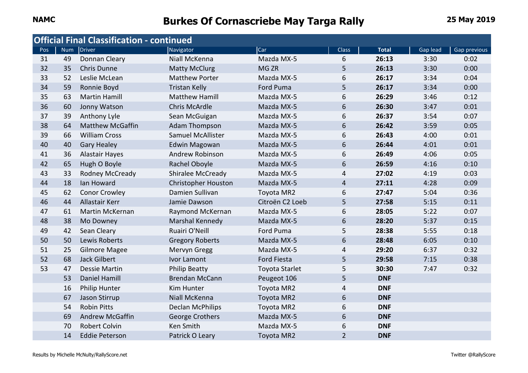|     |            | <b>Official Final Classification - continued</b> |                            |                       |                |              |          |              |
|-----|------------|--------------------------------------------------|----------------------------|-----------------------|----------------|--------------|----------|--------------|
| Pos | <b>Num</b> | Driver                                           | Navigator                  | Car                   | <b>Class</b>   | <b>Total</b> | Gap lead | Gap previous |
| 31  | 49         | Donnan Cleary                                    | Niall McKenna              | Mazda MX-5            | 6              | 26:13        | 3:30     | 0:02         |
| 32  | 35         | <b>Chris Dunne</b>                               | <b>Matty McClurg</b>       | MG <sub>ZR</sub>      | 5              | 26:13        | 3:30     | 0:00         |
| 33  | 52         | Leslie McLean                                    | <b>Matthew Porter</b>      | Mazda MX-5            | 6              | 26:17        | 3:34     | 0:04         |
| 34  | 59         | Ronnie Boyd                                      | <b>Tristan Kelly</b>       | Ford Puma             | 5              | 26:17        | 3:34     | 0:00         |
| 35  | 63         | <b>Martin Hamill</b>                             | <b>Matthew Hamill</b>      | Mazda MX-5            | 6              | 26:29        | 3:46     | 0:12         |
| 36  | 60         | Jonny Watson                                     | <b>Chris McArdle</b>       | Mazda MX-5            | 6              | 26:30        | 3:47     | 0:01         |
| 37  | 39         | Anthony Lyle                                     | Sean McGuigan              | Mazda MX-5            | 6              | 26:37        | 3:54     | 0:07         |
| 38  | 64         | <b>Matthew McGaffin</b>                          | <b>Adam Thompson</b>       | Mazda MX-5            | 6              | 26:42        | 3:59     | 0:05         |
| 39  | 66         | <b>William Cross</b>                             | Samuel McAllister          | Mazda MX-5            | 6              | 26:43        | 4:00     | 0:01         |
| 40  | 40         | <b>Gary Healey</b>                               | <b>Edwin Magowan</b>       | Mazda MX-5            | 6              | 26:44        | 4:01     | 0:01         |
| 41  | 36         | Alastair Hayes                                   | Andrew Robinson            | Mazda MX-5            | 6              | 26:49        | 4:06     | 0:05         |
| 42  | 65         | Hugh O Boyle                                     | Rachel Oboyle              | Mazda MX-5            | 6              | 26:59        | 4:16     | 0:10         |
| 43  | 33         | Rodney McCready                                  | Shiralee McCready          | Mazda MX-5            | 4              | 27:02        | 4:19     | 0:03         |
| 44  | 18         | Ian Howard                                       | <b>Christopher Houston</b> | Mazda MX-5            | 4              | 27:11        | 4:28     | 0:09         |
| 45  | 62         | <b>Conor Crowley</b>                             | Damien Sullivan            | Toyota MR2            | 6              | 27:47        | 5:04     | 0:36         |
| 46  | 44         | <b>Allastair Kerr</b>                            | Jamie Dawson               | Citroën C2 Loeb       | 5              | 27:58        | 5:15     | 0:11         |
| 47  | 61         | <b>Martin McKernan</b>                           | Raymond McKernan           | Mazda MX-5            | 6              | 28:05        | 5:22     | 0:07         |
| 48  | 38         | Mo Downey                                        | Marshal Kennedy            | Mazda MX-5            | 6              | 28:20        | 5:37     | 0:15         |
| 49  | 42         | Sean Cleary                                      | Ruairi O'Neill             | Ford Puma             | 5              | 28:38        | 5:55     | 0:18         |
| 50  | 50         | Lewis Roberts                                    | <b>Gregory Roberts</b>     | Mazda MX-5            | 6              | 28:48        | 6:05     | 0:10         |
| 51  | 25         | <b>Gilmore Magee</b>                             | Mervyn Gregg               | Mazda MX-5            | 4              | 29:20        | 6:37     | 0:32         |
| 52  | 68         | Jack Gilbert                                     | Ivor Lamont                | <b>Ford Fiesta</b>    | 5              | 29:58        | 7:15     | 0:38         |
| 53  | 47         | <b>Dessie Martin</b>                             | <b>Philip Beatty</b>       | <b>Toyota Starlet</b> | 5              | 30:30        | 7:47     | 0:32         |
|     | 53         | Daniel Hamill                                    | <b>Brendan McCann</b>      | Peugeot 106           | 5              | <b>DNF</b>   |          |              |
|     | 16         | <b>Philip Hunter</b>                             | Kim Hunter                 | Toyota MR2            | 4              | <b>DNF</b>   |          |              |
|     | 67         | Jason Stirrup                                    | Niall McKenna              | <b>Toyota MR2</b>     | 6              | <b>DNF</b>   |          |              |
|     | 54         | <b>Robin Pitts</b>                               | <b>Declan McPhilips</b>    | Toyota MR2            | 6              | <b>DNF</b>   |          |              |
|     | 69         | Andrew McGaffin                                  | George Crothers            | Mazda MX-5            | 6              | <b>DNF</b>   |          |              |
|     | 70         | <b>Robert Colvin</b>                             | Ken Smith                  | Mazda MX-5            | 6              | <b>DNF</b>   |          |              |
|     | 14         | <b>Eddie Peterson</b>                            | Patrick O Leary            | Toyota MR2            | $\overline{2}$ | <b>DNF</b>   |          |              |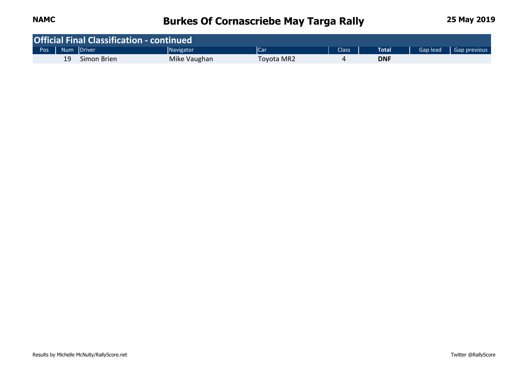|                    |    | <b>Official Final Classification - continued</b> |              |            |              |            |          |              |
|--------------------|----|--------------------------------------------------|--------------|------------|--------------|------------|----------|--------------|
| Pos   Num   Driver |    |                                                  | Navigator    | <b>Car</b> | <b>Class</b> | Total      | Gap lead | Gap previous |
|                    | 19 | Simon Brien                                      | Mike Vaughan | Toyota MR2 |              | <b>DNF</b> |          |              |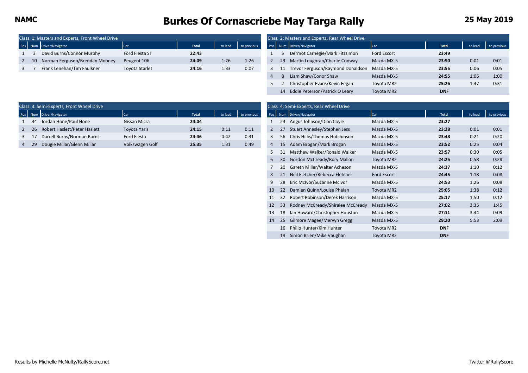|  | Class 1: Masters and Experts, Front Wheel Drive |                       |              |         |             |     | Class 2: Masters and Experts, Rear Wheel Drive |             |              |         |           |
|--|-------------------------------------------------|-----------------------|--------------|---------|-------------|-----|------------------------------------------------|-------------|--------------|---------|-----------|
|  | Pos Num Driver/Navigator                        | <b>Car</b>            | <b>Total</b> | to lead | to previous |     | Pos Num Driver/Navigator                       |             | <b>Total</b> | to lead | to previd |
|  | David Burns/Connor Murphy                       | Ford Fiesta ST        | 22:43        |         |             |     | Dermot Carnegie/Mark Fitzsimon                 | Ford Escort | 23:49        |         |           |
|  | 10 Norman Ferguson/Brendan Mooney               | Peugeot 106           | 24:09        | 1:26    | 1:26        | 23. | Martin Loughran/Charlie Conway                 | Mazda MX-5  | 23:50        | 0:01    | 0:01      |
|  | Frank Lenehan/Tim Faulkner                      | <b>Toyota Starlet</b> | 24:16        | 1:33    | 0:07        | 11  | Trevor Ferguson/Raymond Donaldson              | Mazda MX-5  | 23:55        | 0:06    | 0:05      |
|  |                                                 |                       |              |         |             |     |                                                | .           | -----        | .       | .         |

|              | Class 1: Masters and Experts, Front Wheel Drive |                |       |         |             |                | Class 2: Masters and Experts, Rear Wheel Drive |             |            |         |             |
|--------------|-------------------------------------------------|----------------|-------|---------|-------------|----------------|------------------------------------------------|-------------|------------|---------|-------------|
|              | Pos Num Driver/Navigator                        | <b>Car</b>     | Total | to lead | to previous |                | Pos Num Driver/Navigator                       | <b>Car</b>  | Total      | to lead | to previous |
|              | David Burns/Connor Murphy                       | Ford Fiesta ST | 22:43 |         |             |                | Dermot Carnegie/Mark Fitzsimon                 | Ford Escort | 23:49      |         |             |
| $2 \quad 10$ | Norman Ferguson/Brendan Mooney                  | Peugeot 106    | 24:09 | 1:26    | 1:26        | 2              | 23 Martin Loughran/Charlie Conway              | Mazda MX-5  | 23:50      | 0:01    | 0:01        |
|              | Frank Lenehan/Tim Faulkner                      | Toyota Starlet | 24:16 | 1:33    | 0:07        | 3              | Trevor Ferguson/Raymond Donaldson              | Mazda MX-5  | 23:55      | 0:06    | 0:05        |
|              |                                                 |                |       |         |             | $\overline{4}$ | Liam Shaw/Conor Shaw                           | Mazda MX-5  | 24:55      | 1:06    | 1:00        |
|              |                                                 |                |       |         |             |                | Christopher Evans/Kevin Fegan                  | Toyota MR2  | 25:26      | 1:37    | 0:31        |
|              |                                                 |                |       |         |             |                | 14 Eddie Peterson/Patrick O Leary              | Toyota MR2  | <b>DNF</b> |         |             |

|                 | Class 3: Semi-Experts, Front Wheel Drive |                     |              |         |             |    | Class 4: Semi-Experts, Rear Wheel Drive |            |              |         |             |
|-----------------|------------------------------------------|---------------------|--------------|---------|-------------|----|-----------------------------------------|------------|--------------|---------|-------------|
|                 | Pos Num Driver/Navigator                 | Car                 | <b>Total</b> | to lead | to previous |    | Pos Num Driver/Navigator                | Car        | <b>Total</b> | to lead | to previous |
| $\overline{34}$ | Jordan Hone/Paul Hone                    | Nissan Micra        | 24:04        |         |             | 24 | Angus Johnson/Dion Coyle                | Mazda MX-5 | 23:27        |         |             |
| 26              | Robert Haslett/Peter Haslett             | <b>Toyota Yaris</b> | 24:15        | 0:11    | 0:11        |    | Stuart Annesley/Stephen Jess            | Mazda MX-5 | 23:28        | 0:01    | 0:01        |
| $3 \quad 17$    | Darrell Burns/Norman Burns               | Ford Fiesta         | 24:46        | 0:42    | 0:31        |    | Chris Hillis/Thomas Hutchinson          | Mazda MX-5 | 23:48        | 0:21    | 0:20        |
|                 | Dougie Millar/Glenn Millar               | Volkswagen Golf     | 25:35        | 1:31    | 0:49        | 15 | Adam Brogan/Mark Brogan                 | Mazda MX-5 | 23:52        | 0:25    | 0:04        |

|                |            | Class 4: Semi-Experts, Rear Wheel Drive |                    |              |         |             |
|----------------|------------|-----------------------------------------|--------------------|--------------|---------|-------------|
| Pos            | <b>Num</b> | Driver/Navigator                        | Car                | <b>Total</b> | to lead | to previous |
| 1              | 24         | Angus Johnson/Dion Coyle                | Mazda MX-5         | 23:27        |         |             |
| $\overline{2}$ | 27         | Stuart Annesley/Stephen Jess            | Mazda MX-5         | 23:28        | 0:01    | 0:01        |
| 3              | 56         | Chris Hillis/Thomas Hutchinson          | Mazda MX-5         | 23:48        | 0:21    | 0:20        |
| $\overline{4}$ | 15         | Adam Brogan/Mark Brogan                 | Mazda MX-5         | 23:52        | 0:25    | 0:04        |
| 5              | 31         | Matthew Walker/Ronald Walker            | Mazda MX-5         | 23:57        | 0:30    | 0:05        |
| 6              | 30         | Gordon McCready/Rory Mallon             | Toyota MR2         | 24:25        | 0:58    | 0:28        |
| 7              | 20         | Gareth Miller/Walter Acheson            | Mazda MX-5         | 24:37        | 1:10    | 0:12        |
| 8              | 21         | Neil Fletcher/Rebecca Fletcher          | <b>Ford Escort</b> | 24:45        | 1:18    | 0:08        |
| 9              | 28         | Eric McIvor/Suzanne McIvor              | Mazda MX-5         | 24:53        | 1:26    | 0:08        |
| 10             | 22         | Damien Quinn/Louise Phelan              | Toyota MR2         | 25:05        | 1:38    | 0:12        |
| 11             | 32         | Robert Robinson/Derek Harrison          | Mazda MX-5         | 25:17        | 1:50    | 0:12        |
| 12             | 33         | Rodney McCready/Shiralee McCready       | Mazda MX-5         | 27:02        | 3:35    | 1:45        |
| 13             | 18         | Ian Howard/Christopher Houston          | Mazda MX-5         | 27:11        | 3:44    | 0:09        |
| 14             | 25         | Gilmore Magee/Mervyn Gregg              | Mazda MX-5         | 29:20        | 5:53    | 2:09        |
|                | 16         | Philip Hunter/Kim Hunter                | Toyota MR2         | <b>DNF</b>   |         |             |
|                | 19         | Simon Brien/Mike Vaughan                | Toyota MR2         | <b>DNF</b>   |         |             |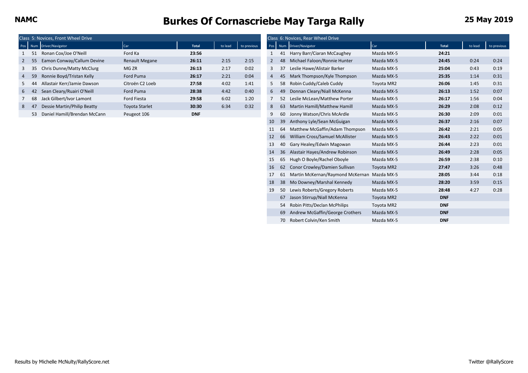|   |                 | Class 5: Novices, Front Wheel Drive |                       |              |         |             |                  |    | Class 6: Novices, Rear Wheel Drive |            |              |         |             |
|---|-----------------|-------------------------------------|-----------------------|--------------|---------|-------------|------------------|----|------------------------------------|------------|--------------|---------|-------------|
|   |                 | Pos Num Driver/Navigator            | Car                   | <b>Total</b> | to lead | to previous | Pos <sup>1</sup> |    | Num Driver/Navigator               | Car        | <b>Total</b> | to lead | to previous |
|   |                 | Ronan Cox/Joe O'Neill               | Ford Ka               | 23:56        |         |             |                  |    | Harry Barr/Ciaran McCaughey        | Mazda MX-5 | 24:21        |         |             |
|   | 2 55            | Eamon Conway/Callum Devine          | <b>Renault Megane</b> | 26:11        | 2:15    | 2:15        |                  | 48 | Michael Faloon/Ronnie Hunter       | Mazda MX-5 | 24:45        | 0:24    | 0:24        |
|   | 3 35            | Chris Dunne/Matty McClurg           | MG ZR                 | 26:13        | 2:17    | 0:02        |                  |    | Leslie Hawe/Alistair Barker        | Mazda MX-5 | 25:04        | 0:43    | 0:19        |
|   | 4 59            | Ronnie Boyd/Tristan Kelly           | Ford Puma             | 26:17        | 2:21    | 0:04        | $\overline{4}$   |    | Mark Thompson/Kyle Thompson        | Mazda MX-5 | 25:35        | 1:14    | 0:31        |
|   | 5 44            | Allastair Kerr/Jamie Dawson         | Citroën C2 Loeb       | 27:58        | 4:02    | 1:41        |                  |    | 58 Robin Cuddy/Caleb Cuddy         | Toyota MR2 | 26:06        | 1:45    | 0:31        |
|   | 6 <sub>42</sub> | Sean Cleary/Ruairi O'Neill          | Ford Puma             | 28:38        | 4:42    | 0:40        | 6                |    | Donnan Cleary/Niall McKenna<br>49  | Mazda MX-5 | 26:13        | 1:52    | 0:07        |
|   | 68              | Jack Gilbert/Ivor Lamont            | Ford Fiesta           | 29:58        | 6:02    | 1:20        |                  |    | 52 Leslie McLean/Matthew Porter    | Mazda MX-5 | 26:17        | 1:56    | 0:04        |
| 8 |                 | Dessie Martin/Philip Beatty         | <b>Toyota Starlet</b> | 30:30        | 6:34    | 0:32        | 8                |    | Martin Hamill/Matthew Hamill<br>63 | Mazda MX-5 | 26:29        | 2:08    | 0:12        |
|   | 53              | Daniel Hamill/Brendan McCann        | Peugeot 106           | <b>DNF</b>   |         |             |                  |    | Jonny Watson/Chris McArdle<br>60   | Mazda MX-5 | 26:30        | 2:09    | 0:01        |

|    | 5: Novices, Front Wheel Drive   |                       |            |         |             |                 |    | Class 6: Novices, Rear Wheel Drive          |                   |              |         |             |
|----|---------------------------------|-----------------------|------------|---------|-------------|-----------------|----|---------------------------------------------|-------------------|--------------|---------|-------------|
|    | <b>Jum</b> Driver/Navigator     | Car                   | Total      | to lead | to previous | Pos             |    | Num Driver/Navigator                        | <b>Car</b>        | <b>Total</b> | to lead | to previous |
|    | 51 Ronan Cox/Joe O'Neill        | Ford Ka               | 23:56      |         |             | 1               | 41 | Harry Barr/Ciaran McCaughey                 | Mazda MX-5        | 24:21        |         |             |
|    | 55 Eamon Conway/Callum Devine   | <b>Renault Megane</b> | 26:11      | 2:15    | 2:15        | $\mathbf{2}$    | 48 | Michael Faloon/Ronnie Hunter                | Mazda MX-5        | 24:45        | 0:24    | 0:24        |
|    | 35 Chris Dunne/Matty McClurg    | MG ZR                 | 26:13      | 2:17    | 0:02        | 3               | 37 | Leslie Hawe/Alistair Barker                 | Mazda MX-5        | 25:04        | 0:43    | 0:19        |
|    | 59 Ronnie Boyd/Tristan Kelly    | Ford Puma             | 26:17      | 2:21    | 0:04        | 4               | 45 | Mark Thompson/Kyle Thompson                 | Mazda MX-5        | 25:35        | 1:14    | 0:31        |
|    | 44 Allastair Kerr/Jamie Dawson  | Citroën C2 Loeb       | 27:58      | 4:02    | 1:41        | 5               | 58 | Robin Cuddy/Caleb Cuddy                     | Toyota MR2        | 26:06        | 1:45    | 0:31        |
|    | 42 Sean Cleary/Ruairi O'Neill   | Ford Puma             | 28:38      | 4:42    | 0:40        | $6\overline{6}$ | 49 | Donnan Cleary/Niall McKenna                 | Mazda MX-5        | 26:13        | 1:52    | 0:07        |
|    | 68 Jack Gilbert/Ivor Lamont     | Ford Fiesta           | 29:58      | 6:02    | 1:20        |                 | 52 | Leslie McLean/Matthew Porter                | Mazda MX-5        | 26:17        | 1:56    | 0:04        |
| 47 | Dessie Martin/Philip Beatty     | <b>Toyota Starlet</b> | 30:30      | 6:34    | 0:32        | 8               | 63 | Martin Hamill/Matthew Hamill                | Mazda MX-5        | 26:29        | 2:08    | 0:12        |
|    | 53 Daniel Hamill/Brendan McCann | Peugeot 106           | <b>DNF</b> |         |             | 9               | 60 | Jonny Watson/Chris McArdle                  | Mazda MX-5        | 26:30        | 2:09    | 0:01        |
|    |                                 |                       |            |         |             | 10              | 39 | Anthony Lyle/Sean McGuigan                  | Mazda MX-5        | 26:37        | 2:16    | 0:07        |
|    |                                 |                       |            |         |             | 11              | 64 | Matthew McGaffin/Adam Thompson              | Mazda MX-5        | 26:42        | 2:21    | 0:05        |
|    |                                 |                       |            |         |             | 12              | 66 | William Cross/Samuel McAllister             | Mazda MX-5        | 26:43        | 2:22    | 0:01        |
|    |                                 |                       |            |         |             | 13              | 40 | Gary Healey/Edwin Magowan                   | Mazda MX-5        | 26:44        | 2:23    | 0:01        |
|    |                                 |                       |            |         |             | 14              | 36 | Alastair Hayes/Andrew Robinson              | Mazda MX-5        | 26:49        | 2:28    | 0:05        |
|    |                                 |                       |            |         |             | 15              | 65 | Hugh O Boyle/Rachel Oboyle                  | Mazda MX-5        | 26:59        | 2:38    | 0:10        |
|    |                                 |                       |            |         |             | 16              | 62 | Conor Crowley/Damien Sullivan               | Toyota MR2        | 27:47        | 3:26    | 0:48        |
|    |                                 |                       |            |         |             | 17              | 61 | Martin McKernan/Raymond McKernan Mazda MX-5 |                   | 28:05        | 3:44    | 0:18        |
|    |                                 |                       |            |         |             | 18              | 38 | Mo Downey/Marshal Kennedy                   | Mazda MX-5        | 28:20        | 3:59    | 0:15        |
|    |                                 |                       |            |         |             | 19              | 50 | Lewis Roberts/Gregory Roberts               | Mazda MX-5        | 28:48        | 4:27    | 0:28        |
|    |                                 |                       |            |         |             |                 | 67 | Jason Stirrup/Niall McKenna                 | <b>Toyota MR2</b> | <b>DNF</b>   |         |             |
|    |                                 |                       |            |         |             |                 | 54 | Robin Pitts/Declan McPhilips                | Toyota MR2        | <b>DNF</b>   |         |             |
|    |                                 |                       |            |         |             |                 | 69 | Andrew McGaffin/George Crothers             | Mazda MX-5        | <b>DNF</b>   |         |             |
|    |                                 |                       |            |         |             |                 | 70 | Robert Colvin/Ken Smith                     | Mazda MX-5        | <b>DNF</b>   |         |             |
|    |                                 |                       |            |         |             |                 |    |                                             |                   |              |         |             |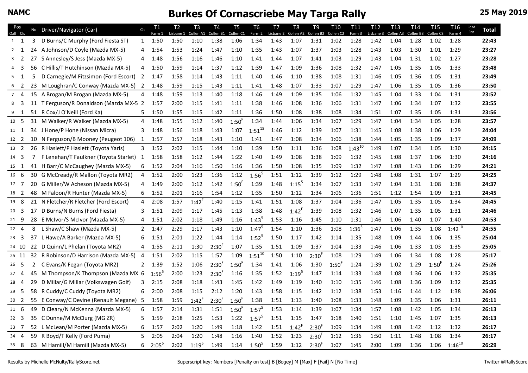### **NAMC Burkes Of Cornascriebe May Targa Rally 25 May 2019 25 May 2019**

| Pos<br>Oall Cls  |     |    | No Driver/Navigator (Car)               | C <sub>l</sub> | T1<br>Farm 1   | T <sub>2</sub><br>Lisbane 1 | T <sub>3</sub><br>Collen A1 | T4<br>Collen B1 | T <sub>5</sub><br>Collen <sub>C1</sub> | T <sub>6</sub><br>Farm 2 | T7<br>Lisbane 2 | T8<br>Collen A2 Collen B2 | T9         | T <sub>10</sub><br>Collen <sub>C2</sub> | T <sub>11</sub><br>Farm 3 | T <sub>12</sub><br>Lisbane 3 | T <sub>13</sub><br>Collen A3 | T <sub>14</sub><br>Collen B3 | T15<br>Collen <sub>C3</sub> | T16<br>Farm 4 | Road<br>Pen | <b>Total</b> |
|------------------|-----|----|-----------------------------------------|----------------|----------------|-----------------------------|-----------------------------|-----------------|----------------------------------------|--------------------------|-----------------|---------------------------|------------|-----------------------------------------|---------------------------|------------------------------|------------------------------|------------------------------|-----------------------------|---------------|-------------|--------------|
| $1 \quad 1$      |     | 3  | D Burns/C Murphy (Ford Fiesta ST)       | 1              | 1:50           | 1:50                        | 1:10                        | 1:38            | 1:06                                   | 1:34                     | 1:43            | 1:07                      | 1:31       | 1:02                                    | 1:28                      | 1:42                         | 1:04                         | 1:28                         | 1:02                        | 1:28          |             | 22:43        |
| $2 \quad 1$      |     | 24 | A Johnson/D Coyle (Mazda MX-5)          | 4              | 1:54           | 1:53                        | 1:24                        | 1:47            | 1:10                                   | 1:35                     | 1:43            | 1:07                      | 1:37       | 1:03                                    | 1:28                      | 1:43                         | 1:03                         | 1:30                         | 1:01                        | 1:29          |             | 23:27        |
| 3 <sub>2</sub>   |     | 27 | S Annesley/S Jess (Mazda MX-5)          | 4              | 1:48           | 1:56                        | 1:16                        | 1:46            | 1:10                                   | 1:41                     | 1:44            | 1:07                      | 1:41       | 1:03                                    | 1:29                      | 1:43                         | 1:04                         | 1:31                         | 1:02                        | 1:27          |             | 23:28        |
| $4 \overline{3}$ |     | 56 | C Hillis/T Hutchinson (Mazda MX-5)      | 4              | 1:50           | 1:59                        | 1:14                        | 1:37            | 1:12                                   | 1:39                     | 1:47            | 1:09                      | 1:36       | 1:08                                    | 1:32                      | 1:47                         | 1:05                         | 1:35                         | 1:05                        | 1:33          |             | 23:48        |
| 5 <sub>1</sub>   |     |    | D Carnegie/M Fitzsimon (Ford Escort)    | $\overline{2}$ | 1:47           | 1:58                        | 1:14                        | 1:43            | 1:11                                   | 1:40                     | 1:46            | 1:10                      | 1:38       | 1:08                                    | 1:31                      | 1:46                         | 1:05                         | 1:36                         | 1:05                        | 1:31          |             | 23:49        |
| 6 <sup>2</sup>   |     |    | M Loughran/C Conway (Mazda MX-5) 2      |                | 1:48           | 1:59                        | 1:15                        | 1:43            | 1:11                                   | 1:41                     | 1:48            | 1:07                      | 1:33       | 1:07                                    | 1:29                      | 1:47                         | 1:06                         | 1:35                         | 1:05                        | 1:36          |             | 23:50        |
| 74               |     |    | 15 A Brogan/M Brogan (Mazda MX-5)       | 4              | 1:48           | 1:59                        | 1:13                        | 1:40            | 1:18                                   | 1:46                     | 1:49            | 1:09                      | 1:35       | 1:06                                    | 1:32                      | 1:45                         | 1:04                         | 1:33                         | 1:04                        | 1:31          |             | 23:52        |
| 8 3              |     |    | 11 T Ferguson/R Donaldson (Mazda MX-5 2 |                | 1:57           | 2:00                        | 1:15                        | 1:41            | 1:11                                   | 1:38                     | 1:46            | 1:08                      | 1:36       | 1:06                                    | 1:31                      | 1:47                         | 1:06                         | 1:34                         | 1:07                        | 1:32          |             | 23:55        |
| 9 <sub>1</sub>   |     |    | 51 R Cox/J O'Neill (Ford Ka)            | 5              | 1:50           | 1:55                        | 1:15                        | 1:42            | 1:11                                   | 1:36                     | 1:50            | 1:08                      | 1:38       | 1:08                                    | 1:34                      | 1:51                         | 1:07                         | 1:35                         | 1:05                        | 1:31          |             | 23:56        |
| 10 <sub>5</sub>  |     |    | 31 M Walker/R Walker (Mazda MX-5)       | 4              | 1:48           | 1:55                        | 1:12                        | 1:40            | 1:50 <sup>F</sup>                      | 1:34                     | 1:44            | 1:06                      | 1:34       | 1:07                                    | 1:29                      | 1:47                         | 1:04                         | 1:34                         | 1:05                        | 1:28          |             | 23:57        |
| 11 1             |     |    | 34 J Hone/P Hone (Nissan Micra)         |                | $3 - 1:48$     | 1:56                        | 1:18                        | 1:43            | 1:07                                   | $1:51^{15}$              | 1:46            | 1:12                      | 1:39       | 1:07                                    | 1:31                      | 1:45                         | 1:08                         | 1:38                         | 1:06                        | 1:29          |             | 24:04        |
| 12 2             |     |    | 10 N Ferguson/B Mooney (Peugeot 106)    | 1              | 1:57           | 1:57                        | 1:18                        | 1:43            | 1:10                                   | 1:41                     | 1:47            | 1:08                      | 1:34       | 1:06                                    | 1:38                      | 1:44                         | 1:05                         | 1:35                         | 1:09                        | 1:37          |             | 24:09        |
| 13 <sup>2</sup>  |     |    | 26 R Haslett/P Haslett (Toyota Yaris)   | 3              | 1:52           | 2:02                        | 1:15                        | 1:44            | 1:10                                   | 1:39                     | 1:50            | 1:11                      | 1:36       | 1:08                                    | $1:43^{10}$               | 1:49                         | 1:07                         | 1:34                         | 1:05                        | 1:30          |             | 24:15        |
| 14 3             |     | 7  | F Lenehan/T Faulkner (Toyota Starlet) 1 |                | 1:58           | 1:58                        | 1:12                        | 1:44            | 1:22                                   | 1:40                     | 1:49            | 1:08                      | 1:38       | 1:09                                    | 1:32                      | 1:45                         | 1:08                         | 1:37                         | 1:06                        | 1:30          |             | 24:16        |
| 15 1             |     |    | 41 H Barr/C McCaughey (Mazda MX-5)      | 6              | 1:52           | 2:04                        | 1:16                        | 1:50            | 1:16                                   | 1:36                     | 1:50            | 1:08                      | 1:35       | 1:09                                    | 1:32                      | 1:47                         | 1:08                         | 1:43                         | 1:06                        | 1:29          |             | 24:21        |
| 16               | - 6 | 30 | G McCready/R Mallon (Toyota MR2)        | 4              | 1:52           | 2:00                        | 1:23                        | 1:36            | 1:12                                   | $1:56^{5}$               | 1:51            | 1:12                      | 1:39       | 1:12                                    | 1:29                      | 1:48                         | 1:08                         | 1:31                         | 1:07                        | 1:29          |             | 24:25        |
| $17 \quad 7$     |     | 20 | G Miller/W Acheson (Mazda MX-5)         | 4              | 1:49           | 2:00                        | 1:12                        | 1:42            | $1:50^{6}$                             | 1:39                     | 1:48            | $1:15^5$                  | 1:34       | 1:07                                    | 1:33                      | 1:47                         | 1:04                         | 1:31                         | 1:08                        | 1:38          |             | 24:37        |
| 18 2             |     | 48 | M Faloon/R Hunter (Mazda MX-5)          | 6              | 1:52           | 2:01                        | 1:16                        | 1:54            | 1:12                                   | 1:35                     | 1:50            | 1:12                      | 1:34       | 1:06                                    | 1:36                      | 1:51                         | 1:12                         | 1:54                         | 1:09                        | 1:31          |             | 24:45        |
| 19 8             |     |    | 21 N Fletcher/R Fletcher (Ford Escort)  | $\overline{4}$ | 2:08           | 1:57                        | $1:42^{F}$                  | 1:40            | 1:15                                   | 1:41                     | 1:51            | 1:08                      | 1:37       | 1:04                                    | 1:36                      | 1:47                         | 1:05                         | 1:35                         | 1:05                        | 1:34          |             | 24:45        |
| $20 \quad 3$     |     | 17 | D Burns/N Burns (Ford Fiesta)           | 3              | 1:51           | 2:09                        | 1:17                        | 1:45            | 1:13                                   | 1:38                     | 1:48            | $1:42^{F}$                | 1:39       | 1:08                                    | 1:32                      | 1:46                         | 1:07                         | 1:35                         | 1:05                        | 1:31          |             | 24:46        |
| 21 9             |     | 28 | E McIvor/S McIvor (Mazda MX-5)          | 4              | 1:51           | 2:02                        | 1:18                        | 1:49            | 1:16                                   | $1:43^{5}$               | 1:53            | 1:16                      | 1:45       | 1:10                                    | 1:31                      | 1:46                         | 1:06                         | 1:40                         | 1:07                        | 1:40          |             | 24:53        |
| $22 \quad 4$     |     | 8  | L Shaw/C Shaw (Mazda MX-5)              |                | $2 \quad 1:47$ | 2:29                        | 1:17                        | 1:43            | 1:10                                   | $1:47^{5}$               | 1:54            | 1:10                      | 1:36       | 1:08                                    | $1:36^{5}$                | 1:47                         | 1:06                         | 1:35                         | 1:08                        | $1:42^{10}$   |             | 24:55        |
| $23 \quad 3$     |     | 37 | L Hawe/A Barker (Mazda MX-5)            | 6              | 1:51           | 2:01                        | 1:22                        | 1:44            | 1:14                                   | $1:52^{5}$               | 1:50            | 1:17                      | 1:42       | 1:14                                    | 1:35                      | 1:48                         | 1:09                         | 1:44                         | 1:06                        | 1:35          |             | 25:04        |
| 24 10            |     | 22 | D Quinn/L Phelan (Toyota MR2)           | 4              | 1:55           | 2:11                        | 1:30                        | $2:30^{6}$      | 1:07                                   | 1:35                     | 1:51            | 1:09                      | 1:37       | 1:04                                    | 1:33                      | 1:46                         | 1:06                         | 1:33                         | 1:03                        | 1:35          |             | 25:05        |
| 25 11            |     |    | 32 R Robinson/D Harrison (Mazda MX-5)   | $\overline{4}$ | 1:51           | 2:02                        | 1:15                        | 1:57            | 1:09                                   | $1:51^{10}$              | 1:50            | 1:10                      | $2:30^{F}$ | 1:08                                    | 1:29                      | 1:49                         | 1:06                         | 1:34                         | 1:08                        | 1:28          |             | 25:17        |
| 26 <sub>5</sub>  |     | 2  | C Evans/K Fegan (Toyota MR2)            |                | $2 \quad 1:39$ | 1:52                        | 1:06                        | $2:30^{F}$      | $1:50^{F}$                             | 1:34                     | 1:41            | 1:06                      | 1:30       | 1:50 <sup>F</sup>                       | 1:24                      | 1:39                         | 1:02                         | 1:29                         | $1:50^{F}$                  | 1:24          |             | 25:26        |
| $27 \quad 4$     |     |    | 45 M Thompson/K Thompson (Mazda MX 6    |                | $1:56^{5}$     | 2:00                        | 1:23                        | 2:30'           | 1:16                                   | 1:35                     | 1:52            | $1:19^{5}$                | 1:47       | 1:14                                    | 1:33                      | 1:48                         | 1:08                         | 1:36                         | 1:06                        | 1:32          |             | 25:35        |
| 28 4             |     | 29 | D Millar/G Millar (Volkswagen Golf)     | 3              | 2:15           | 2:08                        | 1:18                        | 1:43            | 1:45                                   | 1:42                     | 1:49            | 1:19                      | 1:40       | 1:10                                    | 1:35                      | 1:46                         | 1:08                         | 1:36                         | 1:09                        | 1:32          |             | 25:35        |
| 29 5             |     |    | 58 R Cuddy/C Cuddy (Toyota MR2)         | 6              | 2:00           | 2:08                        | 1:15                        | 2:12            | 1:20                                   | 1:43                     | 1:58            | 1:15                      | 1:42       | 1:12                                    | 1:38                      | 1:53                         | 1:16                         | 1:44                         | 1:12                        | 1:38          |             | 26:06        |
| 30 <sub>2</sub>  |     |    | 55 E Conway/C Devine (Renault Megane) 5 |                | 1:58           | 1:59                        | $1:42^{F}$                  | $2:30^{F}$      | $1:50^{F}$                             | 1:38                     | 1:51            | 1:13                      | 1:40       | 1:08                                    | 1:33                      | 1:48                         | 1:09                         | 1:35                         | 1:06                        | 1:31          |             | 26:11        |
| $31\quad 6$      |     | 49 | D Cleary/N McKenna (Mazda MX-5)         | 6              | 1:57           | 2:14                        | 1:31                        | 1:51            | $1:50^{F}$                             | $1:57^5$                 | 1:53            | 1:14                      | 1:39       | 1:07                                    | 1:34                      | 1:57                         | 1:08                         | 1:42                         | 1:05                        | 1:34          |             | 26:13        |
| $32 \quad 3$     |     | 35 | C Dunne/M McClurg (MG ZR)               | 5              | 1:59           | 2:18                        | 1:25                        | 1:53            | 1:22                                   | $1:57^5$                 | 1:51            | 1:15                      | 1:47       | 1:18                                    | 1:40                      | 1:51                         | 1:10                         | 1:45                         | 1:07                        | 1:35          |             | 26:13        |
| 33 7             |     |    | 52 L McLean/M Porter (Mazda MX-5)       | 6              | 1:57           | 2:02                        | 1:20                        | 1:49            | 1:18                                   | 1:42                     | 1:51            | $1:42^{F}$                | $2:30^{F}$ | 1:09                                    | 1:34                      | 1:49                         | 1:08                         | 1:42                         | 1:12                        | 1:32          |             | 26:17        |
| $34 \quad 4$     |     | 59 | R Boyd/T Kelly (Ford Puma)              | 5              | 2:05           | 2:04                        | 1:20                        | 1:48            | 1:16                                   | 1:40                     | 1:52            | 1:23                      | $2:30^{F}$ | 1:12                                    | 1:36                      | 1:50                         | 1:11                         | 1:48                         | 1:08                        | 1:34          |             | 26:17        |
| 35 8             |     |    | 63 M Hamill/M Hamill (Mazda MX-5)       | 6              | $2:05^5$       | 2:02                        | $1:19^{5}$                  | 1:49            | 1:14                                   | $1:50^{5}$               | 1:59            | 1:12                      | $2:30^{F}$ | 1:07                                    | 1:45                      | 2:00                         | 1:09                         | 1:36                         | 1:06                        | $1:46^{10}$   |             | 26:29        |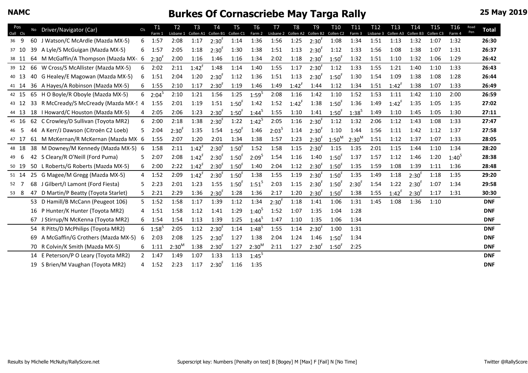#### **NAMC Burkes Of Cornascriebe May Targa Rally 25 May 2019 25 May 2019**

| Pos      | No | Driver/Navigator (Car)               | CIs            | T1              | T <sub>2</sub> | T <sub>3</sub> | T4                  | T <sub>5</sub>       | T <sub>6</sub> | T <sub>7</sub>    | T <sub>8</sub> | T <sub>9</sub>      | T <sub>10</sub>      | T11        | T <sub>12</sub> | T <sub>13</sub> | T14        | T <sub>15</sub>      | <b>T16</b> | Road | <b>Total</b> |
|----------|----|--------------------------------------|----------------|-----------------|----------------|----------------|---------------------|----------------------|----------------|-------------------|----------------|---------------------|----------------------|------------|-----------------|-----------------|------------|----------------------|------------|------|--------------|
| Oall Cls |    |                                      |                | Farm 1          | Lisbane 1      |                | Collen A1 Collen B1 | Collen <sub>C1</sub> | Farm 2         | Lisbane 2         |                | Collen A2 Collen B2 | Collen <sub>C2</sub> | Farm 3     | Lisbane 3       | Collen A3       | Collen B3  | Collen <sub>C3</sub> | Farm 4     | Pen  |              |
| 36 9     |    | 60 J Watson/C McArdle (Mazda MX-5)   | 6              | 1:57            | 2:08           | 1:17           | $2:30^{F}$          | 1:14                 | 1:36           | 1:56              | 1:25           | $2:30^{F}$          | 1:08                 | 1:34       | 1:51            | 1:13            | 1:32       | 1:07                 | 1:32       |      | 26:30        |
| 37 10    | 39 | A Lyle/S McGuigan (Mazda MX-5)       | 6              | 1:57            | 2:05           | 1:18           | $2:30^{F}$          | 1:30                 | 1:38           | 1:51              | 1:13           | $2:30^{F}$          | 1:12                 | 1:33       | 1:56            | 1:08            | 1:38       | 1:07                 | 1:31       |      | 26:37        |
| 38 11    | 64 | M McGaffin/A Thompson (Mazda MX- 6   |                | 2:30'           | 2:00           | 1:16           | 1:46                | 1:16                 | 1:34           | 2:02              | 1:18           | $2:30^{F}$          | $1:50^{F}$           | 1:32       | 1:51            | 1:10            | 1:32       | 1:06                 | 1:29       |      | 26:42        |
| 39 12    | 66 | W Cross/S McAllister (Mazda MX-5)    | 6              | 2:02            | 2:11           | $1:42^{F}$     | 1:48                | 1:14                 | 1:40           | 1:55              | 1:17           | $2:30^{F}$          | 1:12                 | 1:33       | 1:55            | 1:21            | 1:40       | 1:10                 | 1:33       |      | 26:43        |
| 40 13    |    | 40 G Healey/E Magowan (Mazda MX-5)   | 6              | 1:51            | 2:04           | 1:20           | $2:30^{F}$          | 1:12                 | 1:36           | 1:51              | 1:13           | $2:30^{F}$          | 1:50 <sup>F</sup>    | 1:30       | 1:54            | 1:09            | 1:38       | 1:08                 | 1:28       |      | 26:44        |
| 41 14    |    | 36 A Hayes/A Robinson (Mazda MX-5)   | 6              | 1:55            | 2:10           | 1:17           | $2:30^{F}$          | 1:19                 | 1:46           | 1:49              | $1:42^{F}$     | 1:44                | 1:12                 | 1:34       | 1:51            | $1:42^{F}$      | 1:38       | 1:07                 | 1:33       |      | 26:49        |
| 42 15    | 65 | H O Boyle/R Oboyle (Mazda MX-5)      | 6              | $2:04^{5}$      | 2:10           | 1:21           | 1:56                | 1:25                 | $1:59^{5}$     | 2:08              | 1:16           | 1:42                | 1:10                 | 1:52       | 1:53            | 1:11            | 1:42       | 1:10                 | 2:00       |      | 26:59        |
| 43 12    | 33 | R McCready/S McCready (Mazda MX-5 4  |                | 1:55            | 2:01           | 1:19           | 1:51                | 1:50 <sup>F</sup>    | 1:42           | 1:52              | $1:42^{F}$     | 1:38                | $1:50^{F}$           | 1:36       | 1:49            | $1:42^{F}$      | 1:35       | 1:05                 | 1:35       |      | 27:02        |
| 44 13    |    | 18   Howard/C Houston (Mazda MX-5)   | 4              | 2:05            | 2:06           | 1:23           | $2:30^{F}$          | 1:50 <sup>F</sup>    | $1:44^{5}$     | 1:55              | 1:10           | 1:41                | 1:50 <sup>F</sup>    | $1:38^{5}$ | 1:49            | 1:10            | 1:45       | 1:05                 | 1:30       |      | 27:11        |
| 45 16    | 62 | C Crowley/D Sullivan (Toyota MR2)    | 6              | 2:00            | 2:18           | 1:38           | $2:30^{F}$          | 1:22                 | $1:42^{5}$     | 2:05              | 1:16           | $2:30^{F}$          | 1:12                 | 1:32       | 2:06            | 1:12            | 1:43       | 1:08                 | 1:33       |      | 27:47        |
| 46 5     | 44 | A Kerr/J Dawson (Citroën C2 Loeb)    | 5              | 2:04            | 2:30'          | 1:35           | 1:54                | 1:50 <sup>F</sup>    | 1:46           | 2:03 <sup>5</sup> | 1:14           | $2:30^{F}$          | 1:10                 | 1:44       | 1:56            | 1:11            | 1:42       | 1:12                 | 1:37       |      | 27:58        |
| 47 17    |    | 61 M McKernan/R McKernan (Mazda MX 6 |                | 1:55            | 2:07           | 1:20           | 2:01                | 1:34                 | 1:38           | 1:57              | 1:23           | $2:30^{F}$          | $1:50^{M}$           | $2:30^{M}$ | 1:51            | 1:12            | 1:37       | 1:07                 | 1:33       |      | 28:05        |
| 48 18    |    | 38 M Downey/M Kennedy (Mazda MX-5)   | -6             | 1:58            | 2:11           | $1:42^{F}$     | $2:30^{F}$          | 1:50 <sup>F</sup>    | 1:52           | 1:58              | 1:15           | $2:30^{6}$          | 1:15                 | 1:35       | 2:01            | 1:15            | 1:44       | 1:10                 | 1:34       |      | 28:20        |
| 49 6     |    | 42 S Cleary/R O'Neill (Ford Puma)    | 5              | 2:07            | 2:08           | $1:42^{F}$     | $2:30^{F}$          | 1:50 <sup>F</sup>    | $2:09^{5}$     | 1:54              | 1:16           | 1:40                | $1:50^{F}$           | 1:37       | 1:57            | 1:12            | 1:46       | 1:20                 | $1:40^{5}$ |      | 28:38        |
| 50 19    |    | 50 L Roberts/G Roberts (Mazda MX-5)  | 6              | 2:00            | 2:22           | $1:42^{F}$     | $2:30^{F}$          | $1:50^{F}$           | 1:40           | 2:04              | 1:12           | $2:30^{F}$          | $1:50^{F}$           | 1:35       | 1:59            | 1:08            | 1:39       | 1:11                 | 1:36       |      | 28:48        |
| 51 14    | 25 | G Magee/M Gregg (Mazda MX-5)         | 4              | 1:52            | 2:09           | $1:42^F$       | $2:30^{F}$          | 1:50 <sup>F</sup>    | 1:38           | 1:55              | 1:19           | $2:30^{F}$          | $1:50^{\circ}$       | 1:35       | 1:49            | 1:18            | $2:30^{F}$ | 1:18                 | 1:35       |      | 29:20        |
| 52 7     | 68 | J Gilbert/I Lamont (Ford Fiesta)     | 5.             | 2:23            | 2:01           | 1:23           | 1:55                | $1:50^{F}$           | $1:51^{5}$     | 2:03              | 1:15           | $2:30^{F}$          | $1:50^{F}$           | $2:30^{F}$ | 1:54            | 1:22            | $2:30^{F}$ | 1:07                 | 1:34       |      | 29:58        |
| 53 8     | 47 | D Martin/P Beatty (Toyota Starlet)   | 5              | 2:21            | 2:29           | 1:36           | $2:30^{F}$          | 1:28                 | 1:36           | 2:17              | 1:20           | $2:30^{F}$          | $1:50^{F}$           | 1:38       | 1:55            | $1:42^{F}$      | $2:30^{F}$ | 1:17                 | 1:31       |      | 30:30        |
|          |    | 53 D Hamill/B McCann (Peugeot 106)   |                | $5 \quad 1:52$  | 1:58           | 1:17           | 1:39                | 1:12                 | 1:34           | $2:30^{F}$        | 1:18           | 1:41                | 1:06                 | 1:31       | 1:45            | 1:08            | 1:36       | 1:10                 |            |      | <b>DNF</b>   |
|          | 16 | P Hunter/K Hunter (Toyota MR2)       | 4              | 1:51            | 1:58           | 1:12           | 1:41                | 1:29                 | $1:40^{5}$     | 1:52              | 1:07           | 1:35                | 1:04                 | 1:28       |                 |                 |            |                      |            |      | <b>DNF</b>   |
|          | 67 | J Stirrup/N McKenna (Toyota MR2)     | 6              | 1:54            | 1:54           | 1:13           | 1:39                | 1:25                 | $1:44^{5}$     | 1:47              | 1:10           | 1:35                | 1:06                 | 1:34       |                 |                 |            |                      |            |      | <b>DNF</b>   |
|          | 54 | R Pitts/D McPhilips (Toyota MR2)     |                | $6\quad 1:58^5$ | 2:05           | 1:12           | $2:30^{F}$          | 1:14                 | $1:48^{5}$     | 1:55              | 1:14           | $2:30^{\circ}$      | 1:00                 | 1:31       |                 |                 |            |                      |            |      | <b>DNF</b>   |
|          |    |                                      |                |                 |                |                |                     | 1:27                 | 1:38           |                   |                | 1:46                |                      |            |                 |                 |            |                      |            |      |              |
|          | 69 | A McGaffin/G Crothers (Mazda MX-5)   | 6              | 2:03            | 2:08           | 1:25           | $2:30^{F}$          |                      |                | 2:04              | 1:24           |                     | $1:50^{F}$           | 1:34       |                 |                 |            |                      |            |      | <b>DNF</b>   |
|          |    | 70 R Colvin/K Smith (Mazda MX-5)     | 6              | 1:11            | $2:30^{M}$     | 1:38           | $2:30^{6}$          | 1:27                 | $2:30^{M}$     | 2:11              | 1:27           | $2:30^{1}$          | $1:50^{\circ}$       | 2:25       |                 |                 |            |                      |            |      | <b>DNF</b>   |
|          |    | 14 E Peterson/P O Leary (Toyota MR2) | $\overline{2}$ | 1:47            | 1:49           | 1:07           | 1:33                | 1:13                 | $1:45^{5}$     |                   |                |                     |                      |            |                 |                 |            |                      |            |      | <b>DNF</b>   |
|          |    | 19 S Brien/M Vaughan (Toyota MR2)    | 4              | 1:52            | 2:23           | 1:17           | $2:30^{F}$          | 1:16                 | 1:35           |                   |                |                     |                      |            |                 |                 |            |                      |            |      | <b>DNF</b>   |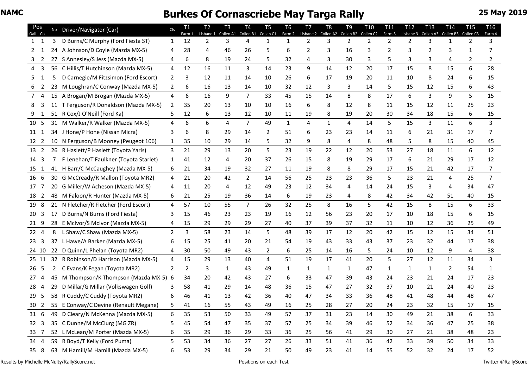### **NAMC Burkes Of Cornascriebe May Targa Rally 25 May 2019** 25 May 2019

| Pos<br>Oall Cls |    | No Driver/Navigator (Car)               | Cls            | <b>T1</b><br>Farm 1 | Т2<br>Lisbane 1 | T <sub>3</sub> | <b>T4</b><br>Collen A1 Collen B1 Collen C1 | T <sub>5</sub> | T <sub>6</sub><br>Farm 2 | T <sub>7</sub><br>Lisbane 2 Collen A2 | T <sub>8</sub> | T <sub>9</sub><br>Collen B2 | T <sub>10</sub><br>Collen C2 | <b>T11</b><br>Farm 3 | T <sub>12</sub><br>Lisbane 3 | <b>T13</b><br>Collen A3 | T <sub>14</sub><br>Collen B3 | T <sub>15</sub><br>Collen C3 | T16<br>Farm 4  |
|-----------------|----|-----------------------------------------|----------------|---------------------|-----------------|----------------|--------------------------------------------|----------------|--------------------------|---------------------------------------|----------------|-----------------------------|------------------------------|----------------------|------------------------------|-------------------------|------------------------------|------------------------------|----------------|
| $1 \quad 1$     | 3  | D Burns/C Murphy (Ford Fiesta ST)       | $\mathbf{1}$   | 12                  | 2               | 3              | 4                                          | $\mathbf{1}$   | $\mathbf{1}$             | 2                                     | 3              | $\overline{2}$              | 2                            | $\overline{2}$       | 2                            | 3                       | 1                            | 2                            | 3              |
| 2<br>1          | 24 | A Johnson/D Coyle (Mazda MX-5)          | 4              | 28                  | 4               | 46             | 26                                         | 5              | 6                        | 2                                     | 3              | 16                          | 3                            | 2                    | 3                            | 2                       | 3                            | 1                            | 7              |
| 2               |    | 27 S Annesley/S Jess (Mazda MX-5)       | 4              | 6                   | 8               | 19             | 24                                         | 5              | 32                       | 4                                     | 3              | 30                          | 3                            | 5                    | 3                            | 3                       | 4                            |                              |                |
| 3<br>4          | 56 | C Hillis/T Hutchinson (Mazda MX-5)      | 4              | 12                  | 16              | 11             | 3                                          | 14             | 23                       | 9                                     | 14             | 12                          | 20                           | 17                   | 15                           | 8                       | 15                           | 6                            | 28             |
| 5.<br>1         | 5  | D Carnegie/M Fitzsimon (Ford Escort)    | 2              | 3                   | 12              | 11             | 14                                         | 10             | 26                       | 6                                     | 17             | 19                          | 20                           | 11                   | 10                           | 8                       | 24                           |                              | 15             |
| 6 2             |    | 23 M Loughran/C Conway (Mazda MX-5)     | $\mathbf{2}$   | 6                   | 16              | 13             | 14                                         | 10             | 32                       | 12                                    | 3              | 3                           | 14                           | 5                    | 15                           | 12                      | 15                           | 6                            | 43             |
| 7 4             |    | 15 A Brogan/M Brogan (Mazda MX-5)       | $\overline{4}$ | 6                   | 16              | 9              | $7^{\circ}$                                | 33             | 45                       | 15                                    | 14             | 8                           | 8                            | 17                   | 6                            | 3                       | 9                            | 5                            | 15             |
| 3<br>8          |    | 11 T Ferguson/R Donaldson (Mazda MX-5)  | 2              | 35                  | 20              | 13             | 10                                         | 10             | 16                       | 6                                     | 8              | 12                          | 8                            | 11                   | 15                           | 12                      | 11                           | 25                           | 23             |
| 1               |    | 51 R Cox/J O'Neill (Ford Ka)            | 5              | 12                  | 6               | 13             | 12                                         | 10             | 11                       | 19                                    | 8              | 19                          | 20                           | 30                   | 34                           | 18                      | 15                           | 6                            | 15             |
| 10 5            |    | 31 M Walker/R Walker (Mazda MX-5)       | 4              | 6                   | 6               | 4              | $\overline{7}$                             | 49             | $\mathbf{1}$             | 4                                     | $\mathbf{1}$   | 4                           | 14                           | 5                    | 15                           | 3                       | 11                           | 6                            | 3              |
| 11 1            |    | 34 J Hone/P Hone (Nissan Micra)         | 3              | 6                   | 8               | 29             | 14                                         | 2              | 51                       | 6                                     | 23             | 23                          | 14                           | 11                   | 6                            | 21                      | 31                           | 17                           | 7              |
| 12 <sub>2</sub> |    | 10 N Ferguson/B Mooney (Peugeot 106)    | $\mathbf{1}$   | 35                  | 10              | 29             | 14                                         | 5              | 32                       | 9                                     | 8              | 4                           | 8                            | 48                   | 5                            | 8                       | 15                           | 40                           | 45             |
| 13 2            |    | 26 R Haslett/P Haslett (Toyota Yaris)   | 3              | 21                  | 29              | 13             | 20                                         | 5              | 23                       | 19                                    | 22             | 12                          | 20                           | 53                   | 27                           | 18                      | 11                           | 6                            | 12             |
| 14 3            | 7  | F Lenehan/T Faulkner (Toyota Starlet)   | $\mathbf{1}$   | 41                  | 12              | 4              | 20                                         | 37             | 26                       | 15                                    | 8              | 19                          | 29                           | 17                   | 6                            | 21                      | 29                           | 17                           | 12             |
| 15 1            |    | 41 H Barr/C McCaughey (Mazda MX-5)      | 6              | 21                  | 34              | 19             | 32                                         | 27             | 11                       | 19                                    | 8              | 8                           | 29                           | 17                   | 15                           | 21                      | 42                           | 17                           | 7              |
| 16 6            |    | 30 G McCready/R Mallon (Toyota MR2)     | $\overline{4}$ | 21                  | 20              | 42             | $\overline{2}$                             | 14             | 56                       | 25                                    | 23             | 23                          | 36                           | 5                    | 23                           | 21                      | 4                            | 25                           | 7 <sup>1</sup> |
| 17 7            |    | 20 G Miller/W Acheson (Mazda MX-5)      | 4              | 11                  | 20              | 4              | 12                                         | 49             | 23                       | 12                                    | 34             | 4                           | 14                           | 24                   | 15                           | 3                       | 4                            | 34                           | 47             |
| 18 2            |    | 48 M Faloon/R Hunter (Mazda MX-5)       | 6              | 21                  | 25              | 19             | 36                                         | 14             | 6                        | 19                                    | 23             | 4                           | 8                            | 42                   | 34                           | 42                      | 51                           | 40                           | 15             |
| 19 8            |    | 21 N Fletcher/R Fletcher (Ford Escort)  | $\overline{4}$ | 57                  | 10              | 55             | $7^{\circ}$                                | 26             | 32                       | 25                                    | 8              | 16                          | 5                            | 42                   | 15                           | 8                       | 15                           | 6                            | 33             |
| 20 <sub>3</sub> |    | 17 D Burns/N Burns (Ford Fiesta)        | 3              | 15                  | 46              | 23             | 23                                         | 19             | 16                       | 12                                    | 56             | 23                          | 20                           | 17                   | 10                           | 18                      | 15                           | 6                            | 15             |
| 21 9            |    | 28 E McIvor/S McIvor (Mazda MX-5)       | 4              | 15                  | 29              | 29             | 29                                         | 27             | 40                       | 37                                    | 39             | 37                          | 32                           | 11                   | 10                           | 12                      | 36                           | 25                           | 49             |
| 22 4            | 8  | L Shaw/C Shaw (Mazda MX-5)              | 2              | 3                   | 58              | 23             | 14                                         | 5              | 48                       | 39                                    | 17             | 12                          | 20                           | 42                   | 15                           | 12                      | 15                           | 34                           | 51             |
| 23<br>3         | 37 | L Hawe/A Barker (Mazda MX-5)            | 6              | 15                  | 25              | 41             | 20                                         | 21             | 54                       | 19                                    | 43             | 33                          | 43                           | 37                   | 23                           | 32                      | 44                           | 17                           | 38             |
| 24 10           |    | 22 D Quinn/L Phelan (Toyota MR2)        | 4              | 30                  | 50              | 49             | 43                                         | $\mathbf{2}$   | 6                        | 25                                    | 14             | 16                          | 5.                           | 24                   | 10                           | 12                      | 9                            | 4                            | 38             |
| 25 11           |    | 32 R Robinson/D Harrison (Mazda MX-5)   | 4              | 15                  | 29              | 13             | 40                                         | 4              | 51                       | 19                                    | 17             | 41                          | 20                           | 5                    | 27                           | 12                      | 11                           | 34                           | 3              |
| 26 <sub>5</sub> | 2  | C Evans/K Fegan (Toyota MR2)            | 2              | $\overline{2}$      | 3               | 1              | 43                                         | 49             | 1                        | 1                                     | 1              | 1                           | 47                           | 1                    | 1                            | 1                       | 2                            | 54                           | 1              |
| 27<br>4         |    | 45 M Thompson/K Thompson (Mazda MX-5) 6 |                | 34                  | 20              | 42             | 43                                         | 27             | 6                        | 33                                    | 47             | 39                          | 43                           | 24                   | 23                           | 21                      | 24                           | 17                           | 23             |
| 28 4            | 29 | D Millar/G Millar (Volkswagen Golf)     | 3              | 58                  | 41              | 29             | 14                                         | 48             | 36                       | 15                                    | 47             | 27                          | 32                           | 37                   | 10                           | 21                      | 24                           | 40                           | 23             |
| 29<br>-5        |    | 58 R Cuddy/C Cuddy (Toyota MR2)         | 6              | 46                  | 41              | 13             | 42                                         | 36             | 40                       | 47                                    | 34             | 33                          | 36                           | 48                   | 41                           | 48                      | 44                           | 48                           | 47             |
| 30 <sub>2</sub> |    | 55 E Conway/C Devine (Renault Megane)   | 5 <sub>1</sub> | 41                  | 16              | 55             | 43                                         | 49             | 16                       | 25                                    | 28             | 27                          | 20                           | 24                   | 23                           | 32                      | 15                           | 17                           | 15             |
| $31\quad 6$     |    | 49 D Cleary/N McKenna (Mazda MX-5)      | 6              | 35                  | 53              | 50             | 33                                         | 49             | 57                       | 37                                    | 31             | 23                          | 14                           | 30                   | 49                           | 21                      | 38                           | 6                            | 33             |
| 32 <sub>3</sub> |    | 35 C Dunne/M McClurg (MG ZR)            | 5              | 45                  | 54              | 47             | 35                                         | 37             | 57                       | 25                                    | 34             | 39                          | 46                           | 52                   | 34                           | 36                      | 47                           | 25                           | 38             |
| 33 7            |    | 52 L McLean/M Porter (Mazda MX-5)       | 6              | 35                  | 29              | 36             | 29                                         | 33             | 36                       | 25                                    | 56             | 41                          | 29                           | 30                   | 27                           | 21                      | 38                           | 48                           | 23             |
| 34 4            |    | 59 R Boyd/T Kelly (Ford Puma)           | 5.             | 53                  | 34              | 36             | 27                                         | 27             | 26                       | 33                                    | 51             | 41                          | 36                           | 42                   | 33                           | 39                      | 50                           | 34                           | 33             |
| 35 8            |    | 63 M Hamill/M Hamill (Mazda MX-5)       | 6              | 53                  | 29              | 34             | 29                                         | 21             | 50                       | 49                                    | 23             | 41                          | 14                           | 55                   | 52                           | 32                      | 24                           | 17                           | 52             |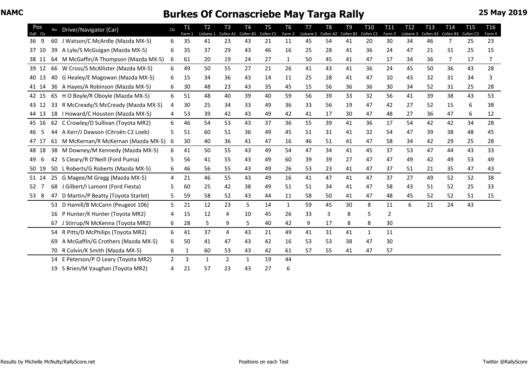| Pos<br>Oall Cls |    | No Driver/Navigator (Car)             | Cls            | T1<br>Farm 1 | T <sub>2</sub><br>Lisbane 1 | T <sub>3</sub><br>Collen A1 | <b>T4</b><br>Collen B1 | T <sub>5</sub><br>Collen <sub>C1</sub> | T <sub>6</sub><br>Farm 2 | T <sub>7</sub><br>Lisbane 2 | T <sub>8</sub><br>Collen A2 | T <sub>9</sub><br>Collen B2 | T <sub>10</sub><br>Collen C2 | T <sub>11</sub><br>Farm 3 | T <sub>12</sub><br>Lisbane 3 | T <sub>13</sub><br>Collen A3 | T <sub>14</sub><br>Collen B3 | <b>T15</b><br>Collen <sub>C3</sub> | <b>T16</b><br>Farm 4 |
|-----------------|----|---------------------------------------|----------------|--------------|-----------------------------|-----------------------------|------------------------|----------------------------------------|--------------------------|-----------------------------|-----------------------------|-----------------------------|------------------------------|---------------------------|------------------------------|------------------------------|------------------------------|------------------------------------|----------------------|
| 36 9            |    | 60 J Watson/C McArdle (Mazda MX-5)    | 6              | 35           | 41                          | 23                          | 43                     | 21                                     | 11                       | 45                          | 54                          | 41                          | 20                           | 30                        | 34                           | 46                           | 7                            | 25                                 | 23                   |
| 37 10           | 39 | A Lyle/S McGuigan (Mazda MX-5)        | 6              | 35           | 37                          | 29                          | 43                     | 46                                     | 16                       | 25                          | 28                          | 41                          | 36                           | 24                        | 47                           | 21                           | 31                           | 25                                 | 15                   |
| 38 11           | 64 | M McGaffin/A Thompson (Mazda MX-5)    | 6              | 61           | 20                          | 19                          | 24                     | 27                                     | 1                        | 50                          | 45                          | 41                          | 47                           | 17                        | 34                           | 36                           | 7                            | 17                                 | 7                    |
| 39 12           |    | 66 W Cross/S McAllister (Mazda MX-5)  | 6              | 49           | 50                          | 55                          | 27                     | 21                                     | 26                       | 41                          | 43                          | 41                          | 36                           | 24                        | 45                           | 50                           | 36                           | 43                                 | 28                   |
| 40 13           |    | 40 G Healey/E Magowan (Mazda MX-5)    | 6              | 15           | 34                          | 36                          | 43                     | 14                                     | 11                       | 25                          | 28                          | 41                          | 47                           | 10                        | 43                           | 32                           | 31                           | 34                                 | 3                    |
| 41 14           |    | 36 A Hayes/A Robinson (Mazda MX-5)    | 6              | 30           | 48                          | 23                          | 43                     | 35                                     | 45                       | 15                          | 56                          | 36                          | 36                           | 30                        | 34                           | 52                           | 31                           | 25                                 | 28                   |
| 42 15           |    | 65 H O Boyle/R Oboyle (Mazda MX-5)    | 6              | 51           | 48                          | 40                          | 39                     | 40                                     | 59                       | 56                          | 39                          | 33                          | 32                           | 56                        | 41                           | 39                           | 38                           | 43                                 | 53                   |
| 43 12           | 33 | R McCready/S McCready (Mazda MX-5)    | 4              | 30           | 25                          | 34                          | 33                     | 49                                     | 36                       | 33                          | 56                          | 19                          | 47                           | 42                        | 27                           | 52                           | 15                           | 6                                  | 38                   |
| 44 13           |    | 18   Howard/C Houston (Mazda MX-5)    | 4              | 53           | 39                          | 42                          | 43                     | 49                                     | 42                       | 41                          | 17                          | 30                          | 47                           | 48                        | 27                           | 36                           | 47                           | 6                                  | 12                   |
| 45 16           |    | 62 C Crowley/D Sullivan (Toyota MR2)  | 6              | 46           | 54                          | 53                          | 43                     | 37                                     | 36                       | 55                          | 39                          | 41                          | 36                           | 17                        | 54                           | 42                           | 42                           | 34                                 | 28                   |
| -5<br>46        |    | 44 A Kerr/J Dawson (Citroën C2 Loeb)  | 5              | 51           | 60                          | 51                          | 36                     | 49                                     | 45                       | 51                          | 31                          | 41                          | 32                           | 54                        | 47                           | 39                           | 38                           | 48                                 | 45                   |
| 47 17           |    | 61 M McKernan/R McKernan (Mazda MX-5) | 6              | 30           | 40                          | 36                          | 41                     | 47                                     | 16                       | 46                          | 51                          | 41                          | 47                           | 58                        | 34                           | 42                           | 29                           | 25                                 | 28                   |
| 48 18           |    | 38 M Downey/M Kennedy (Mazda MX-5)    | 6              | 41           | 50                          | 55                          | 43                     | 49                                     | 54                       | 47                          | 34                          | 41                          | 45                           | 37                        | 53                           | 47                           | 44                           | 43                                 | 33                   |
| 6<br>49         |    | 42 S Cleary/R O'Neill (Ford Puma)     | 5              | 56           | 41                          | 55                          | 43                     | 49                                     | 60                       | 39                          | 39                          | 27                          | 47                           | 47                        | 49                           | 42                           | 49                           | 53                                 | 49                   |
| 50 19           |    | 50 L Roberts/G Roberts (Mazda MX-5)   | 6              | 46           | 56                          | 55                          | 43                     | 49                                     | 26                       | 53                          | 23                          | 41                          | 47                           | 37                        | 51                           | 21                           | 35                           | 47                                 | 43                   |
| 51 14           | 25 | G Magee/M Gregg (Mazda MX-5)          | 4              | 21           | 46                          | 55                          | 43                     | 49                                     | 16                       | 41                          | 47                          | 41                          | 47                           | 37                        | 27                           | 49                           | 52                           | 52                                 | 38                   |
| 52 7            | 68 | J Gilbert/I Lamont (Ford Fiesta)      | 5              | 60           | 25                          | 42                          | 38                     | 49                                     | 51                       | 51                          | 34                          | 41                          | 47                           | 58                        | 43                           | 51                           | 52                           | 25                                 | 33                   |
| 53 8            | 47 | D Martin/P Beatty (Toyota Starlet)    | 5              | 59           | 58                          | 52                          | 43                     | 44                                     | 11                       | 58                          | 50                          | 41                          | 47                           | 48                        | 45                           | 52                           | 52                           | 51                                 | 15                   |
|                 |    | 53 D Hamill/B McCann (Peugeot 106)    | 5.             | 21           | 12                          | 23                          | 5                      | 14                                     | 1                        | 59                          | 45                          | 30                          | 8                            | 11                        | 6                            | 21                           | 24                           | 43                                 |                      |
|                 | 16 | P Hunter/K Hunter (Toyota MR2)        | 4              | 15           | 12                          | 4                           | 10                     | 45                                     | 26                       | 33                          | 3                           | 8                           | 5                            | 2                         |                              |                              |                              |                                    |                      |
|                 | 67 | J Stirrup/N McKenna (Toyota MR2)      | 6              | 28           | 5                           | 9                           | 5                      | 40                                     | 42                       | 9                           | 17                          | 8                           | 8                            | 30                        |                              |                              |                              |                                    |                      |
|                 | 54 | R Pitts/D McPhilips (Toyota MR2)      | 6              | 41           | 37                          | $\overline{4}$              | 43                     | 21                                     | 49                       | 41                          | 31                          | 41                          | $\mathbf{1}$                 | 11                        |                              |                              |                              |                                    |                      |
|                 | 69 | A McGaffin/G Crothers (Mazda MX-5)    | 6              | 50           | 41                          | 47                          | 43                     | 42                                     | 16                       | 53                          | 53                          | 38                          | 47                           | 30                        |                              |                              |                              |                                    |                      |
|                 | 70 | R Colvin/K Smith (Mazda MX-5)         | 6              | 1            | 60                          | 53                          | 43                     | 42                                     | 61                       | 57                          | 55                          | 41                          | 47                           | 57                        |                              |                              |                              |                                    |                      |
|                 |    | 14 E Peterson/P O Leary (Toyota MR2)  | $\overline{2}$ | 3            | $\mathbf{1}$                | 2                           | 1                      | 19                                     | 44                       |                             |                             |                             |                              |                           |                              |                              |                              |                                    |                      |
|                 |    | 19 S Brien/M Vaughan (Toyota MR2)     | 4              | 21           | 57                          | 23                          | 43                     | 27                                     | 6                        |                             |                             |                             |                              |                           |                              |                              |                              |                                    |                      |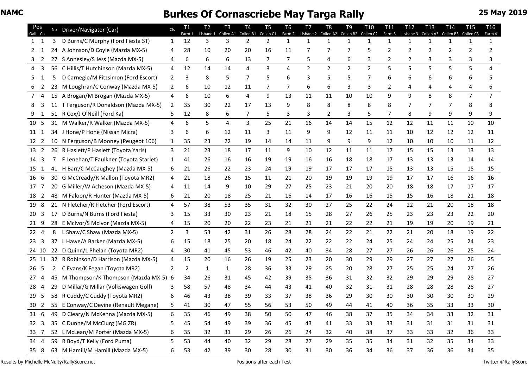| Pos<br>Oall Cls |    | No Driver/Navigator (Car)                  | Cls            | T <sub>1</sub><br>Farm 1 | T <sub>2</sub><br>Lisbane 1 | T <sub>3</sub> | T <sub>4</sub><br>Collen A1 Collen B1 | T <sub>5</sub><br>Collen <sub>C1</sub> | T <sub>6</sub><br>Farm 2 | T <sub>7</sub><br>Lisbane 2 | T <sub>8</sub><br>Collen A2 | T <sub>9</sub><br>Collen B2 | T <sub>10</sub><br>Collen C2 | T <sub>11</sub><br>Farm 3 | T <sub>12</sub><br>Lisbane 3 | T <sub>13</sub><br>Collen A3 | T <sub>14</sub><br>Collen B3 | T <sub>15</sub><br>Collen <sub>C3</sub> | T <sub>16</sub><br>Farm 4 |
|-----------------|----|--------------------------------------------|----------------|--------------------------|-----------------------------|----------------|---------------------------------------|----------------------------------------|--------------------------|-----------------------------|-----------------------------|-----------------------------|------------------------------|---------------------------|------------------------------|------------------------------|------------------------------|-----------------------------------------|---------------------------|
| $1 \quad 1$     | 3  | D Burns/C Murphy (Ford Fiesta ST)          | $\mathbf{1}$   | 12                       | 3                           | 3              | $\overline{2}$                        | $\overline{2}$                         | 1                        | 1                           | 1                           | 1                           | $\mathbf{1}$                 | $\mathbf{1}$              | 1                            | 1                            | 1                            |                                         | 1                         |
| 1<br>2          | 24 | A Johnson/D Coyle (Mazda MX-5)             | 4              | 28                       | 10                          | 20             | 20                                    | 16                                     | 11                       | 7                           | 7                           | 7                           | 5                            | 2                         | 2                            | 2                            | 2                            |                                         |                           |
| 2               |    | 27 S Annesley/S Jess (Mazda MX-5)          | 4              | 6                        | 6                           | 6              | 13                                    | 7                                      | 7                        | 5                           | 4                           | 6                           | 3                            | 2                         | 2                            | 3                            |                              |                                         |                           |
| 3<br>4          |    | 56 C Hillis/T Hutchinson (Mazda MX-5)      | $\overline{4}$ | 12                       | 14                          | 14             | $\overline{4}$                        | 3                                      | 4                        | $\overline{2}$              | $\overline{2}$              | $\overline{2}$              | $\overline{2}$               | 5                         | 5                            | 5                            | 5                            | 5                                       | 4                         |
| 5.              | 5  | D Carnegie/M Fitzsimon (Ford Escort)       | 2              | 3                        | 8                           | 5              | 7                                     | 5                                      | 6                        | 3                           |                             | 5                           | 7                            | 6                         | 6                            | 6                            | 6                            |                                         |                           |
| 2<br>6          |    | 23 M Loughran/C Conway (Mazda MX-5)        | $2^{\circ}$    | 6                        | 10                          | 12             | 11                                    | 7                                      | 7                        | 6                           | 6                           | 3                           | 3                            | 2                         | 4                            | 4                            | 4                            |                                         |                           |
| 7 <sub>4</sub>  |    | 15 A Brogan/M Brogan (Mazda MX-5)          | 4              | 6                        | 10                          | 6              | $\overline{4}$                        | 9                                      | 13                       | 11                          | 11                          | 10                          | 10                           | 9                         | 9                            | 8                            | 8                            | $\overline{7}$                          | $\overline{7}$            |
| 8               |    | 11 T Ferguson/R Donaldson (Mazda MX-5)     | 2              | 35                       | 30                          | 22             | 17                                    | 13                                     | 9                        | 8                           | 8                           | 8                           | 8                            | 8                         |                              | 7                            |                              |                                         |                           |
| 1               |    | 51 R Cox/J O'Neill (Ford Ka)               | 5.             | 12                       | 8                           | 6              | 7                                     | 5                                      | 3                        | 3                           | 2                           | 3                           | 5                            | 7                         | 8                            | 9                            | 9                            | 9                                       | 9                         |
| 10 5            |    | 31 M Walker/R Walker (Mazda MX-5)          | 4              | 6                        | 5                           | 4              | 3                                     | 25                                     | 21                       | 16                          | 14                          | 14                          | 15                           | 12                        | 12                           | 11                           | 11                           | 10                                      | 10                        |
| 11 1            |    | 34 J Hone/P Hone (Nissan Micra)            | 3              | 6                        | 6                           | 12             | 11                                    | 3                                      | 11                       | 9                           | 9                           | 12                          | 11                           | 11                        | 10                           | 12                           | 12                           | 12                                      | 11                        |
| 12 <sub>2</sub> |    | 10 N Ferguson/B Mooney (Peugeot 106)       | $\mathbf{1}$   | 35                       | 23                          | 22             | 19                                    | 14                                     | 14                       | 11                          | 9                           | 9                           | 9                            | 12                        | 10                           | 10                           | 10                           | 11                                      | 12                        |
| 13 2            |    | 26 R Haslett/P Haslett (Toyota Yaris)      | 3              | 21                       | 23                          | 18             | 17                                    | 11                                     | 9                        | 10                          | 12                          | 11                          | 11                           | 17                        | 15                           | 15                           | 13                           | 13                                      | 13                        |
| 14 3            |    | F Lenehan/T Faulkner (Toyota Starlet)      | $\mathbf{1}$   | 41                       | 26                          | 16             | 16                                    | 19                                     | 19                       | 16                          | 16                          | 18                          | 18                           | 17                        | 13                           | 13                           | 13                           | 14                                      | 14                        |
| 15 1            |    | 41 H Barr/C McCaughey (Mazda MX-5)         | 6              | 21                       | 26                          | 22             | 23                                    | 24                                     | 19                       | 19                          | 17                          | 17                          | 17                           | 15                        | 13                           | 13                           | 15                           | 15                                      | 15                        |
| 16 6            |    | 30 G McCready/R Mallon (Toyota MR2)        | $\overline{4}$ | 21                       | 18                          | 26             | 15                                    | 11                                     | 21                       | 20                          | 19                          | 19                          | 19                           | 19                        | 17                           | 17                           | 16                           | 16                                      | 16                        |
| 17 7            |    | 20 G Miller/W Acheson (Mazda MX-5)         | 4              | 11                       | 14                          | 9              | 10                                    | 29                                     | 27                       | 25                          | 23                          | 21                          | 20                           | 20                        | 18                           | 18                           | 17                           | 17                                      | 17                        |
| 18 2            |    | 48 M Faloon/R Hunter (Mazda MX-5)          | 6              | 21                       | 20                          | 18             | 25                                    | 21                                     | 16                       | 14                          | 17                          | 16                          | 16                           | 15                        | 15                           | 16                           | 18                           | 21                                      | 18                        |
| 19 8            |    | 21 N Fletcher/R Fletcher (Ford Escort)     | $\overline{4}$ | 57                       | 38                          | 53             | 35                                    | 31                                     | 32                       | 30                          | 27                          | 25                          | 22                           | 24                        | 22                           | 21                           | 20                           | 18                                      | 18                        |
| 3<br>20         | 17 | D Burns/N Burns (Ford Fiesta)              | 3              | 15                       | 33                          | 30             | 23                                    | 21                                     | 18                       | 15                          | 28                          | 27                          | 26                           | 25                        | 23                           | 23                           | 23                           | 22                                      | 20                        |
| 21 9            |    | 28 E McIvor/S McIvor (Mazda MX-5)          |                | 15                       | 20                          | 20             | 22                                    | 23                                     | 21                       | 21                          | 21                          | 22                          | 22                           | 21                        | 19                           | 19                           | 20                           | 19                                      | 21                        |
| 22 <sub>4</sub> | 8  | L Shaw/C Shaw (Mazda MX-5)                 | $\mathbf{2}$   | 3                        | 53                          | 42             | 31                                    | 26                                     | 28                       | 28                          | 24                          | 22                          | 21                           | 22                        | 21                           | 20                           | 18                           | 19                                      | 22                        |
| -3<br>23        |    | 37 L Hawe/A Barker (Mazda MX-5)            | 6              | 15                       | 18                          | 25             | 20                                    | 18                                     | 24                       | 22                          | 22                          | 22                          | 24                           | 25                        | 24                           | 24                           | 25                           | 24                                      | 23                        |
| 24 10           |    | 22 D Quinn/L Phelan (Toyota MR2)           | 4              | 30                       | 41                          | 45             | 53                                    | 46                                     | 42                       | 40                          | 34                          | 28                          | 27                           | 27                        | 26                           | 26                           | 26                           | 25                                      | 24                        |
| 25 11           |    | 32 R Robinson/D Harrison (Mazda MX-5)      | 4              | 15                       | 20                          | 16             | 26                                    | 19                                     | 25                       | 23                          | 20                          | 30                          | 29                           | 29                        | 27                           | 27                           | 27                           | 26                                      | 25                        |
| 26 5            | 2  | C Evans/K Fegan (Toyota MR2)               | 2              | 2                        | 1                           | 1              | 28                                    | 36                                     | 33                       | 29                          | 25                          | 20                          | 28                           | 27                        | 25                           | 25                           | 24                           | 27                                      | 26                        |
| 274             |    | 45 M Thompson/K Thompson (Mazda MX-5) 6    |                | 34                       | 26                          | 31             | 45                                    | 42                                     | 39                       | 35                          | 36                          | 31                          | 32                           | 32                        | 29                           | 29                           | 29                           | 28                                      | 27                        |
| 28 4            | 29 | D Millar/G Millar (Volkswagen Golf)        | 3              | 58                       | 57                          | 48             | 34                                    | 44                                     | 43                       | 41                          | 40                          | 32                          | 31                           | 31                        | 28                           | 28                           | 28                           | 28                                      | 27                        |
| 29              |    | 58 R Cuddy/C Cuddy (Toyota MR2)            | 6              | 46                       | 43                          | 38             | 39                                    | 33                                     | 37                       | 38                          | 36                          | 29                          | 30                           | 30                        | 30                           | 30                           | 30                           | 30                                      | 29                        |
|                 |    | 30 2 55 E Conway/C Devine (Renault Megane) |                | 5 41                     | 30                          | 47             | 55                                    | 56                                     | 53                       | 50                          | 49                          | 44                          | 41                           | 40                        | 36                           | 35                           | 33                           | 33                                      | 30                        |
| $31\quad 6$     |    | 49 D Cleary/N McKenna (Mazda MX-5)         | 6              | 35                       | 46                          | 49             | 38                                    | 50                                     | 50                       | 47                          | 46                          | 38                          | 37                           | 35                        | 34                           | 34                           | 33                           | 32                                      | 31                        |
| 32 <sub>3</sub> |    | 35 C Dunne/M McClurg (MG ZR)               | 5              | 45                       | 54                          | 49             | 39                                    | 36                                     | 45                       | 43                          | 41                          | 33                          | 33                           | 33                        | 31                           | 31                           | 31                           | 31                                      | 31                        |
| 33 7            |    | 52 L McLean/M Porter (Mazda MX-5)          | 6              | 35                       | 32                          | 31             | 29                                    | 26                                     | 26                       | 24                          | 32                          | 40                          | 38                           | 37                        | 33                           | 33                           | 32                           | 36                                      | 33                        |
| 34 4            |    | 59 R Boyd/T Kelly (Ford Puma)              | 5              | 53                       | 44                          | 40             | 32                                    | 29                                     | 28                       | 27                          | 29                          | 35                          | 35                           | 34                        | 31                           | 32                           | 35                           | 34                                      | 33                        |
| 35 8            |    | 63 M Hamill/M Hamill (Mazda MX-5)          | 6              | 53                       | 42                          | 39             | 30                                    | 28                                     | 30                       | 31                          | 30                          | 36                          | 34                           | 36                        | 37                           | 36                           | 36                           | 34                                      | 35                        |